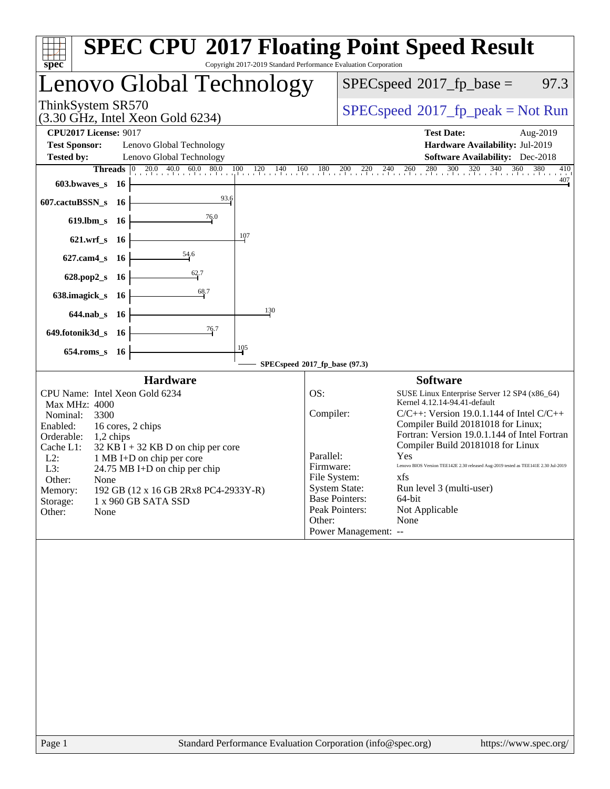| Copyright 2017-2019 Standard Performance Evaluation Corporation<br>spec <sup>®</sup>                                                                                                                                                                                                                                                                                                                             | <b>SPEC CPU®2017 Floating Point Speed Result</b>                                                                                                                                                                                                                                                                                                                                                                                                                                                                                                                                                                   |
|------------------------------------------------------------------------------------------------------------------------------------------------------------------------------------------------------------------------------------------------------------------------------------------------------------------------------------------------------------------------------------------------------------------|--------------------------------------------------------------------------------------------------------------------------------------------------------------------------------------------------------------------------------------------------------------------------------------------------------------------------------------------------------------------------------------------------------------------------------------------------------------------------------------------------------------------------------------------------------------------------------------------------------------------|
| Lenovo Global Technology                                                                                                                                                                                                                                                                                                                                                                                         | $SPEC speed^{\circ}2017$ fp base =<br>97.3                                                                                                                                                                                                                                                                                                                                                                                                                                                                                                                                                                         |
| ThinkSystem SR570<br>$(3.30 \text{ GHz}, \text{Intel Xeon Gold } 6234)$                                                                                                                                                                                                                                                                                                                                          | $SPEC speed^{\circ}2017\_fp\_peak = Not Run$                                                                                                                                                                                                                                                                                                                                                                                                                                                                                                                                                                       |
| <b>CPU2017 License: 9017</b><br><b>Test Sponsor:</b><br>Lenovo Global Technology<br><b>Tested by:</b><br>Lenovo Global Technology<br>603.bwaves_s<br>- 16                                                                                                                                                                                                                                                        | <b>Test Date:</b><br>Aug-2019<br>Hardware Availability: Jul-2019<br><b>Software Availability:</b> Dec-2018<br><b>Threads</b> $\begin{bmatrix} 0 & 20.0 & 40.0 & 60.0 & 80.0 & 100 & 120 & 140 & 160 & 180 & 200 & 220 & 240 & 260 & 280 & 300 & 320 & 340 & 360 & 380 \end{bmatrix}$<br>410<br>$\frac{407}{1}$                                                                                                                                                                                                                                                                                                     |
| 93.6<br>607.cactuBSSN_s<br>- 16<br>76.0<br>619.lbm_s 16<br>107<br>$621.wrf$ <sub>S</sub><br>- 16                                                                                                                                                                                                                                                                                                                 |                                                                                                                                                                                                                                                                                                                                                                                                                                                                                                                                                                                                                    |
| <u>54.6</u><br>$627$ .cam $4$ <sub>S</sub><br>-16<br>62.7<br>628.pop2_s<br>- 16<br>68.7<br>638.imagick_s<br>- 16<br>130<br>$644$ .nab s<br>- 16<br>76.7<br>649.fotonik3d_s<br>- 16<br>105                                                                                                                                                                                                                        |                                                                                                                                                                                                                                                                                                                                                                                                                                                                                                                                                                                                                    |
| $654$ .roms_s<br>- 16                                                                                                                                                                                                                                                                                                                                                                                            | SPECspeed®2017_fp_base (97.3)                                                                                                                                                                                                                                                                                                                                                                                                                                                                                                                                                                                      |
| <b>Hardware</b><br>CPU Name: Intel Xeon Gold 6234<br>Max MHz: 4000<br>Nominal:<br>3300<br>Enabled:<br>16 cores, 2 chips<br>Orderable:<br>1,2 chips<br>Cache L1:<br>$32$ KB I + 32 KB D on chip per core<br>$L2$ :<br>1 MB I+D on chip per core<br>L3:<br>24.75 MB I+D on chip per chip<br>Other:<br>None<br>192 GB (12 x 16 GB 2Rx8 PC4-2933Y-R)<br>Memory:<br>Storage:<br>1 x 960 GB SATA SSD<br>Other:<br>None | <b>Software</b><br>OS:<br>SUSE Linux Enterprise Server 12 SP4 (x86_64)<br>Kernel 4.12.14-94.41-default<br>Compiler:<br>$C/C++$ : Version 19.0.1.144 of Intel $C/C++$<br>Compiler Build 20181018 for Linux;<br>Fortran: Version 19.0.1.144 of Intel Fortran<br>Compiler Build 20181018 for Linux<br>Parallel:<br>Yes<br>Lenovo BIOS Version TEE142E 2.30 released Aug-2019 tested as TEE141E 2.30 Jul-2019<br>Firmware:<br>File System:<br>xfs<br>Run level 3 (multi-user)<br><b>System State:</b><br><b>Base Pointers:</b><br>64-bit<br>Peak Pointers:<br>Not Applicable<br>None<br>Other:<br>Power Management: -- |
| Standard Performance Evaluation Corporation (info@spec.org)<br>Page 1                                                                                                                                                                                                                                                                                                                                            | https://www.spec.org/                                                                                                                                                                                                                                                                                                                                                                                                                                                                                                                                                                                              |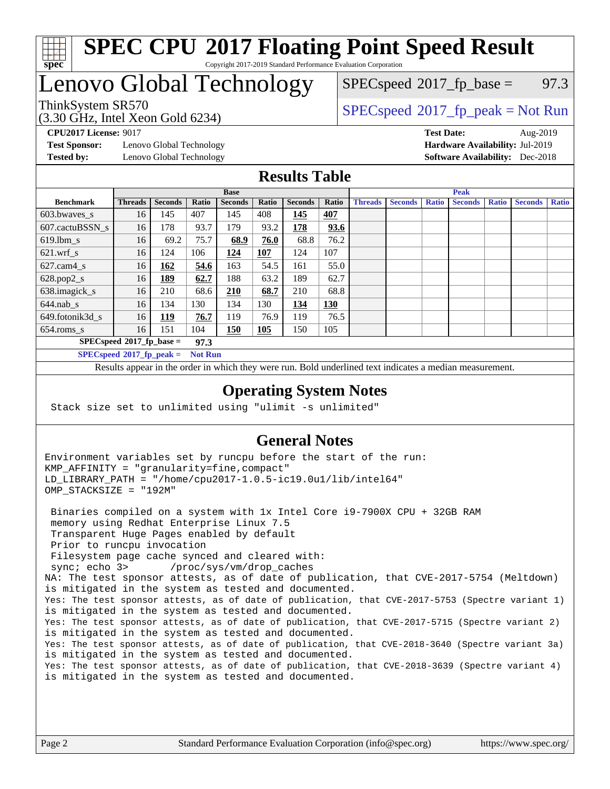

#### **[SPEC CPU](http://www.spec.org/auto/cpu2017/Docs/result-fields.html#SPECCPU2017FloatingPointSpeedResult)[2017 Floating Point Speed Result](http://www.spec.org/auto/cpu2017/Docs/result-fields.html#SPECCPU2017FloatingPointSpeedResult)** Copyright 2017-2019 Standard Performance Evaluation Corporation

# Lenovo Global Technology

(3.30 GHz, Intel Xeon Gold 6234)

 $SPECspeed^{\circ}2017\_fp\_base = 97.3$  $SPECspeed^{\circ}2017\_fp\_base = 97.3$ 

## ThinkSystem SR570<br>  $SPEC speed^{\circ}2017$  [p\_peak = Not Run

**[Test Sponsor:](http://www.spec.org/auto/cpu2017/Docs/result-fields.html#TestSponsor)** Lenovo Global Technology **[Hardware Availability:](http://www.spec.org/auto/cpu2017/Docs/result-fields.html#HardwareAvailability)** Jul-2019 **[Tested by:](http://www.spec.org/auto/cpu2017/Docs/result-fields.html#Testedby)** Lenovo Global Technology **[Software Availability:](http://www.spec.org/auto/cpu2017/Docs/result-fields.html#SoftwareAvailability)** Dec-2018

**[CPU2017 License:](http://www.spec.org/auto/cpu2017/Docs/result-fields.html#CPU2017License)** 9017 **[Test Date:](http://www.spec.org/auto/cpu2017/Docs/result-fields.html#TestDate)** Aug-2019

### **[Results Table](http://www.spec.org/auto/cpu2017/Docs/result-fields.html#ResultsTable)**

|                                               | <b>Base</b>    |                |       |                |       |                | <b>Peak</b> |                |                |              |                |              |                |              |
|-----------------------------------------------|----------------|----------------|-------|----------------|-------|----------------|-------------|----------------|----------------|--------------|----------------|--------------|----------------|--------------|
| <b>Benchmark</b>                              | <b>Threads</b> | <b>Seconds</b> | Ratio | <b>Seconds</b> | Ratio | <b>Seconds</b> | Ratio       | <b>Threads</b> | <b>Seconds</b> | <b>Ratio</b> | <b>Seconds</b> | <b>Ratio</b> | <b>Seconds</b> | <b>Ratio</b> |
| 603.bwayes s                                  | 16             | 145            | 407   | 145            | 408   | 145            | 407         |                |                |              |                |              |                |              |
| 607.cactuBSSN s                               | 16             | 178            | 93.7  | 179            | 93.2  | 178            | 93.6        |                |                |              |                |              |                |              |
| $619.$ lbm_s                                  | 16             | 69.2           | 75.7  | 68.9           | 76.0  | 68.8           | 76.2        |                |                |              |                |              |                |              |
| $621.wrf$ s                                   | 16             | 124            | 106   | 124            | 107   | 124            | 107         |                |                |              |                |              |                |              |
| $627$ .cam $4 \text{ s}$                      | 16             | <u>162</u>     | 54.6  | 163            | 54.5  | 161            | 55.0        |                |                |              |                |              |                |              |
| $628.pop2_s$                                  | 16             | <u>189</u>     | 62.7  | 188            | 63.2  | 189            | 62.7        |                |                |              |                |              |                |              |
| 638.imagick_s                                 | 16             | 210            | 68.6  | 210            | 68.7  | 210            | 68.8        |                |                |              |                |              |                |              |
| $644$ .nab s                                  | 16             | 134            | 130   | 134            | 130   | 134            | <u>130</u>  |                |                |              |                |              |                |              |
| 649.fotonik3d s                               | 16             | <u>119</u>     | 76.7  | 119            | 76.9  | 119            | 76.5        |                |                |              |                |              |                |              |
| $654$ .roms s                                 | 16             | 151            | 104   | 150            | 105   | 150            | 105         |                |                |              |                |              |                |              |
| $SPECspeed*2017_fp\_base =$<br>97.3           |                |                |       |                |       |                |             |                |                |              |                |              |                |              |
| $SPECspeed*2017_fp\_peak =$<br><b>Not Run</b> |                |                |       |                |       |                |             |                |                |              |                |              |                |              |

Results appear in the [order in which they were run.](http://www.spec.org/auto/cpu2017/Docs/result-fields.html#RunOrder) Bold underlined text [indicates a median measurement](http://www.spec.org/auto/cpu2017/Docs/result-fields.html#Median).

#### **[Operating System Notes](http://www.spec.org/auto/cpu2017/Docs/result-fields.html#OperatingSystemNotes)**

Stack size set to unlimited using "ulimit -s unlimited"

#### **[General Notes](http://www.spec.org/auto/cpu2017/Docs/result-fields.html#GeneralNotes)**

Environment variables set by runcpu before the start of the run: KMP\_AFFINITY = "granularity=fine,compact" LD\_LIBRARY\_PATH = "/home/cpu2017-1.0.5-ic19.0u1/lib/intel64" OMP\_STACKSIZE = "192M"

 Binaries compiled on a system with 1x Intel Core i9-7900X CPU + 32GB RAM memory using Redhat Enterprise Linux 7.5 Transparent Huge Pages enabled by default Prior to runcpu invocation Filesystem page cache synced and cleared with: sync; echo 3> /proc/sys/vm/drop\_caches NA: The test sponsor attests, as of date of publication, that CVE-2017-5754 (Meltdown) is mitigated in the system as tested and documented. Yes: The test sponsor attests, as of date of publication, that CVE-2017-5753 (Spectre variant 1) is mitigated in the system as tested and documented. Yes: The test sponsor attests, as of date of publication, that CVE-2017-5715 (Spectre variant 2) is mitigated in the system as tested and documented. Yes: The test sponsor attests, as of date of publication, that CVE-2018-3640 (Spectre variant 3a) is mitigated in the system as tested and documented. Yes: The test sponsor attests, as of date of publication, that CVE-2018-3639 (Spectre variant 4) is mitigated in the system as tested and documented.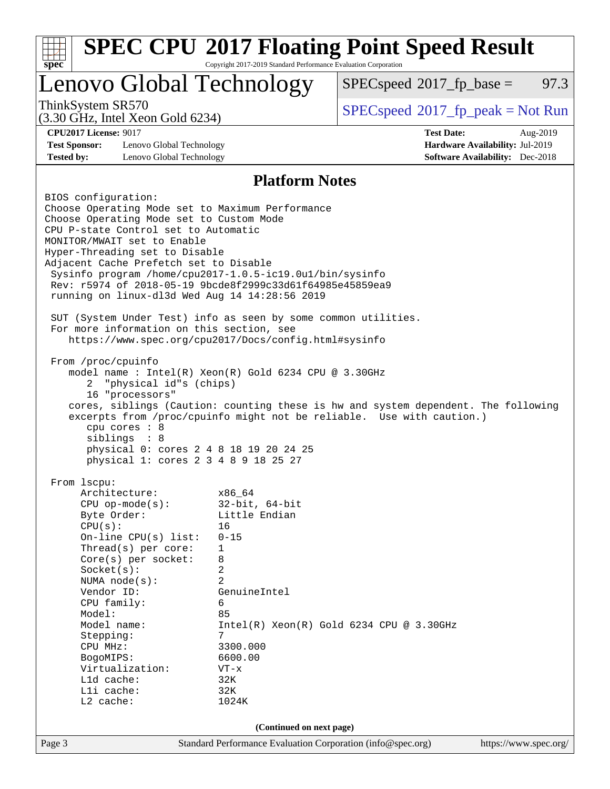| spec <sup>®</sup>                                                                  | Copyright 2017-2019 Standard Performance Evaluation Corporation | <b>SPEC CPU®2017 Floating Point Speed Result</b> |                                        |      |  |  |
|------------------------------------------------------------------------------------|-----------------------------------------------------------------|--------------------------------------------------|----------------------------------------|------|--|--|
| Lenovo Global Technology                                                           |                                                                 | $SPEC speed^{\circ}2017$ fp base =               |                                        | 97.3 |  |  |
| ThinkSystem SR570<br>$(3.30 \text{ GHz}, \text{Intel Xeon Gold } 6234)$            |                                                                 | $SPEC speed^{\circ}2017\_fp\_peak = Not Run$     |                                        |      |  |  |
| <b>CPU2017 License: 9017</b>                                                       |                                                                 | <b>Test Date:</b>                                | Aug-2019                               |      |  |  |
| <b>Test Sponsor:</b><br>Lenovo Global Technology                                   |                                                                 |                                                  | Hardware Availability: Jul-2019        |      |  |  |
| <b>Tested by:</b><br>Lenovo Global Technology                                      |                                                                 |                                                  | <b>Software Availability:</b> Dec-2018 |      |  |  |
|                                                                                    | <b>Platform Notes</b>                                           |                                                  |                                        |      |  |  |
| BIOS configuration:                                                                |                                                                 |                                                  |                                        |      |  |  |
| Choose Operating Mode set to Maximum Performance                                   |                                                                 |                                                  |                                        |      |  |  |
| Choose Operating Mode set to Custom Mode                                           |                                                                 |                                                  |                                        |      |  |  |
| CPU P-state Control set to Automatic                                               |                                                                 |                                                  |                                        |      |  |  |
| MONITOR/MWAIT set to Enable<br>Hyper-Threading set to Disable                      |                                                                 |                                                  |                                        |      |  |  |
| Adjacent Cache Prefetch set to Disable                                             |                                                                 |                                                  |                                        |      |  |  |
| Sysinfo program /home/cpu2017-1.0.5-ic19.0ul/bin/sysinfo                           |                                                                 |                                                  |                                        |      |  |  |
| Rev: r5974 of 2018-05-19 9bcde8f2999c33d61f64985e45859ea9                          |                                                                 |                                                  |                                        |      |  |  |
| running on linux-dl3d Wed Aug 14 14:28:56 2019                                     |                                                                 |                                                  |                                        |      |  |  |
| SUT (System Under Test) info as seen by some common utilities.                     |                                                                 |                                                  |                                        |      |  |  |
| For more information on this section, see                                          |                                                                 |                                                  |                                        |      |  |  |
| https://www.spec.org/cpu2017/Docs/config.html#sysinfo                              |                                                                 |                                                  |                                        |      |  |  |
|                                                                                    |                                                                 |                                                  |                                        |      |  |  |
|                                                                                    | From /proc/cpuinfo                                              |                                                  |                                        |      |  |  |
| model name : Intel(R) Xeon(R) Gold 6234 CPU @ 3.30GHz<br>2                         |                                                                 |                                                  |                                        |      |  |  |
| "physical id"s (chips)<br>16 "processors"                                          |                                                                 |                                                  |                                        |      |  |  |
| cores, siblings (Caution: counting these is hw and system dependent. The following |                                                                 |                                                  |                                        |      |  |  |
| excerpts from /proc/cpuinfo might not be reliable. Use with caution.)              |                                                                 |                                                  |                                        |      |  |  |
| cpu cores $: 8$                                                                    |                                                                 |                                                  |                                        |      |  |  |
|                                                                                    | siblings : 8                                                    |                                                  |                                        |      |  |  |
| physical 0: cores 2 4 8 18 19 20 24 25<br>physical 1: cores 2 3 4 8 9 18 25 27     |                                                                 |                                                  |                                        |      |  |  |
|                                                                                    |                                                                 |                                                  |                                        |      |  |  |
| From 1scpu:                                                                        |                                                                 |                                                  |                                        |      |  |  |
| Architecture:                                                                      | x86_64                                                          |                                                  |                                        |      |  |  |
| $CPU$ op-mode( $s$ ):                                                              | $32$ -bit, $64$ -bit                                            |                                                  |                                        |      |  |  |
| Byte Order:                                                                        | Little Endian<br>16                                             |                                                  |                                        |      |  |  |
| CPU(s):<br>On-line CPU(s) list:                                                    | $0 - 15$                                                        |                                                  |                                        |      |  |  |
| Thread(s) per core:                                                                | 1                                                               |                                                  |                                        |      |  |  |
| Core(s) per socket:                                                                | 8                                                               |                                                  |                                        |      |  |  |
| Socket(s):                                                                         | 2                                                               |                                                  |                                        |      |  |  |
| NUMA $node(s)$ :                                                                   | $\overline{a}$                                                  |                                                  |                                        |      |  |  |
| Vendor ID:                                                                         | GenuineIntel                                                    |                                                  |                                        |      |  |  |
| Model:                                                                             | 6<br>CPU family:<br>85                                          |                                                  |                                        |      |  |  |
| Model name:                                                                        | $Intel(R) Xeon(R) Gold 6234 CPU @ 3.30GHz$                      |                                                  |                                        |      |  |  |
| Stepping:                                                                          | 7                                                               |                                                  |                                        |      |  |  |
| CPU MHz:                                                                           | 3300.000                                                        |                                                  |                                        |      |  |  |
| BogoMIPS:                                                                          | 6600.00                                                         |                                                  |                                        |      |  |  |
| Virtualization:<br>L1d cache:                                                      | $VT - x$<br>32K                                                 |                                                  |                                        |      |  |  |
| Lli cache:                                                                         | 32K                                                             |                                                  |                                        |      |  |  |
| L2 cache:                                                                          | 1024K                                                           |                                                  |                                        |      |  |  |
|                                                                                    |                                                                 |                                                  |                                        |      |  |  |
|                                                                                    | (Continued on next page)                                        |                                                  |                                        |      |  |  |
| Page 3                                                                             | Standard Performance Evaluation Corporation (info@spec.org)     |                                                  | https://www.spec.org/                  |      |  |  |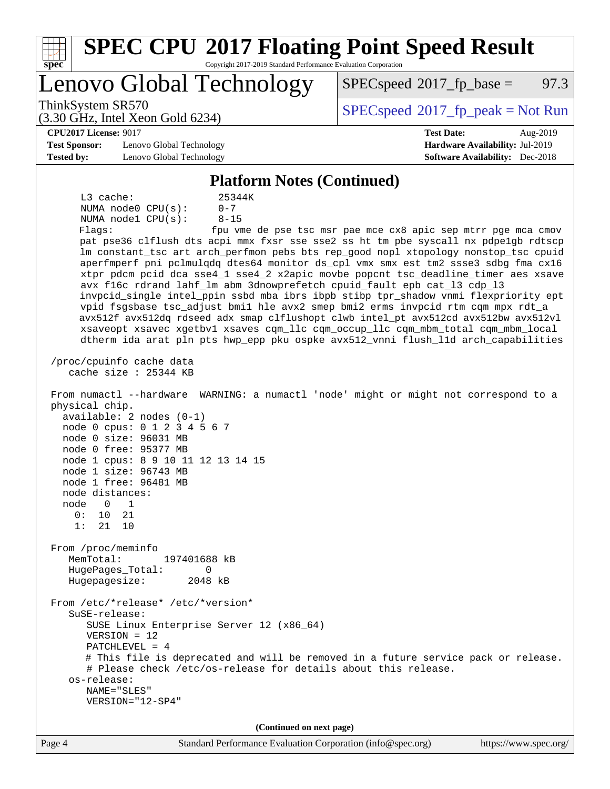| <b>SPEC CPU®2017 Floating Point Speed Result</b><br>Copyright 2017-2019 Standard Performance Evaluation Corporation<br>spec <sup>®</sup>                                |                                                               |
|-------------------------------------------------------------------------------------------------------------------------------------------------------------------------|---------------------------------------------------------------|
| Lenovo Global Technology                                                                                                                                                | 97.3<br>$SPEC speed^{\circ}2017$ fp base =                    |
| ThinkSystem SR570<br>$(3.30 \text{ GHz}, \text{Intel Xeon Gold } 6234)$                                                                                                 | $SPEC speed^{\circ}2017\_fp\_peak = Not Run$                  |
| <b>CPU2017 License: 9017</b>                                                                                                                                            | <b>Test Date:</b><br>Aug-2019                                 |
| <b>Test Sponsor:</b><br>Lenovo Global Technology                                                                                                                        | Hardware Availability: Jul-2019                               |
| <b>Tested by:</b><br>Lenovo Global Technology                                                                                                                           | <b>Software Availability:</b> Dec-2018                        |
| <b>Platform Notes (Continued)</b>                                                                                                                                       |                                                               |
| L3 cache:<br>25344K                                                                                                                                                     |                                                               |
| $0 - 7$<br>NUMA node0 CPU(s):                                                                                                                                           |                                                               |
| $8 - 15$<br>NUMA nodel CPU(s):                                                                                                                                          |                                                               |
| Flags:                                                                                                                                                                  | fpu vme de pse tsc msr pae mce cx8 apic sep mtrr pge mca cmov |
| pat pse36 clflush dts acpi mmx fxsr sse sse2 ss ht tm pbe syscall nx pdpe1gb rdtscp                                                                                     |                                                               |
| lm constant_tsc art arch_perfmon pebs bts rep_good nopl xtopology nonstop_tsc cpuid                                                                                     |                                                               |
| aperfmperf pni pclmulqdq dtes64 monitor ds_cpl vmx smx est tm2 ssse3 sdbg fma cx16                                                                                      |                                                               |
| xtpr pdcm pcid dca sse4_1 sse4_2 x2apic movbe popcnt tsc_deadline_timer aes xsave                                                                                       |                                                               |
| avx f16c rdrand lahf_lm abm 3dnowprefetch cpuid_fault epb cat_13 cdp_13                                                                                                 |                                                               |
| invpcid_single intel_ppin ssbd mba ibrs ibpb stibp tpr_shadow vnmi flexpriority ept                                                                                     |                                                               |
| vpid fsgsbase tsc_adjust bmil hle avx2 smep bmi2 erms invpcid rtm cqm mpx rdt_a<br>avx512f avx512dq rdseed adx smap clflushopt clwb intel_pt avx512cd avx512bw avx512vl |                                                               |
| xsaveopt xsavec xgetbvl xsaves cqm_llc cqm_occup_llc cqm_mbm_total cqm_mbm_local                                                                                        |                                                               |
| dtherm ida arat pln pts hwp_epp pku ospke avx512_vnni flush_lld arch_capabilities                                                                                       |                                                               |
|                                                                                                                                                                         |                                                               |
| /proc/cpuinfo cache data<br>cache size $: 25344$ KB                                                                                                                     |                                                               |
| From numactl --hardware WARNING: a numactl 'node' might or might not correspond to a<br>physical chip.                                                                  |                                                               |
| $available: 2 nodes (0-1)$                                                                                                                                              |                                                               |
| node 0 cpus: 0 1 2 3 4 5 6 7                                                                                                                                            |                                                               |
| node 0 size: 96031 MB                                                                                                                                                   |                                                               |
| node 0 free: 95377 MB                                                                                                                                                   |                                                               |
| node 1 cpus: 8 9 10 11 12 13 14 15<br>node 1 size: 96743 MB                                                                                                             |                                                               |
| node 1 free: 96481 MB                                                                                                                                                   |                                                               |
| node distances:                                                                                                                                                         |                                                               |
| node<br>$\Omega$<br>1                                                                                                                                                   |                                                               |
| 0:<br>10<br>21                                                                                                                                                          |                                                               |
| 1:<br>21<br>10                                                                                                                                                          |                                                               |
|                                                                                                                                                                         |                                                               |
| From /proc/meminfo<br>MemTotal:<br>197401688 kB                                                                                                                         |                                                               |
| HugePages_Total:<br>0                                                                                                                                                   |                                                               |
| Hugepagesize:<br>2048 kB                                                                                                                                                |                                                               |
|                                                                                                                                                                         |                                                               |
| From /etc/*release* /etc/*version*<br>$S$ uSE-release:                                                                                                                  |                                                               |
| SUSE Linux Enterprise Server 12 (x86_64)                                                                                                                                |                                                               |
| $VERSION = 12$                                                                                                                                                          |                                                               |
| PATCHLEVEL = 4                                                                                                                                                          |                                                               |
| # This file is deprecated and will be removed in a future service pack or release.                                                                                      |                                                               |
| # Please check /etc/os-release for details about this release.                                                                                                          |                                                               |
| os-release:                                                                                                                                                             |                                                               |
| NAME="SLES"                                                                                                                                                             |                                                               |
| VERSION="12-SP4"                                                                                                                                                        |                                                               |
|                                                                                                                                                                         |                                                               |
| (Continued on next page)                                                                                                                                                |                                                               |
| Page 4<br>Standard Performance Evaluation Corporation (info@spec.org)                                                                                                   | https://www.spec.org/                                         |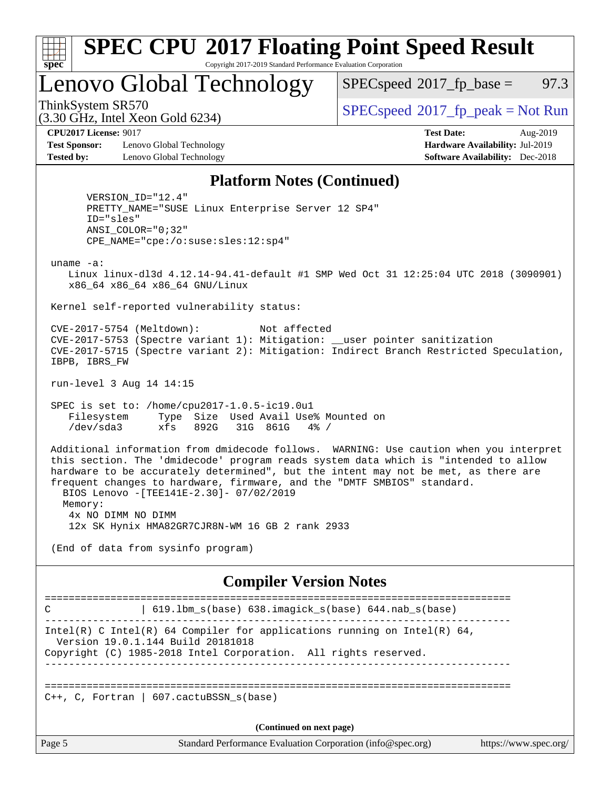| ÷.<br>t<br>ų<br>O |  |  |  |  |
|-------------------|--|--|--|--|

#### **[SPEC CPU](http://www.spec.org/auto/cpu2017/Docs/result-fields.html#SPECCPU2017FloatingPointSpeedResult)[2017 Floating Point Speed Result](http://www.spec.org/auto/cpu2017/Docs/result-fields.html#SPECCPU2017FloatingPointSpeedResult)** Copyright 2017-2019 Standard Performance Evaluation Corporation

Lenovo Global Technology

 $SPECspeed^{\circledcirc}2017_fp\_base = 97.3$  $SPECspeed^{\circledcirc}2017_fp\_base = 97.3$ 

(3.30 GHz, Intel Xeon Gold 6234)

ThinkSystem SR570<br>  $SPECspeed*2017_fp\_peak = Not Run$  $SPECspeed*2017_fp\_peak = Not Run$ 

**[Test Sponsor:](http://www.spec.org/auto/cpu2017/Docs/result-fields.html#TestSponsor)** Lenovo Global Technology **[Hardware Availability:](http://www.spec.org/auto/cpu2017/Docs/result-fields.html#HardwareAvailability)** Jul-2019 **[Tested by:](http://www.spec.org/auto/cpu2017/Docs/result-fields.html#Testedby)** Lenovo Global Technology **[Software Availability:](http://www.spec.org/auto/cpu2017/Docs/result-fields.html#SoftwareAvailability)** Dec-2018

**[CPU2017 License:](http://www.spec.org/auto/cpu2017/Docs/result-fields.html#CPU2017License)** 9017 **[Test Date:](http://www.spec.org/auto/cpu2017/Docs/result-fields.html#TestDate)** Aug-2019

#### **[Platform Notes \(Continued\)](http://www.spec.org/auto/cpu2017/Docs/result-fields.html#PlatformNotes)**

 VERSION\_ID="12.4" PRETTY\_NAME="SUSE Linux Enterprise Server 12 SP4" ID="sles" ANSI\_COLOR="0;32" CPE\_NAME="cpe:/o:suse:sles:12:sp4"

uname -a:

 Linux linux-dl3d 4.12.14-94.41-default #1 SMP Wed Oct 31 12:25:04 UTC 2018 (3090901) x86\_64 x86\_64 x86\_64 GNU/Linux

Kernel self-reported vulnerability status:

 CVE-2017-5754 (Meltdown): Not affected CVE-2017-5753 (Spectre variant 1): Mitigation: \_\_user pointer sanitization CVE-2017-5715 (Spectre variant 2): Mitigation: Indirect Branch Restricted Speculation, IBPB, IBRS\_FW

run-level 3 Aug 14 14:15

 SPEC is set to: /home/cpu2017-1.0.5-ic19.0u1 Filesystem Type Size Used Avail Use% Mounted on /dev/sda3 xfs 892G 31G 861G 4% /

 Additional information from dmidecode follows. WARNING: Use caution when you interpret this section. The 'dmidecode' program reads system data which is "intended to allow hardware to be accurately determined", but the intent may not be met, as there are frequent changes to hardware, firmware, and the "DMTF SMBIOS" standard. BIOS Lenovo -[TEE141E-2.30]- 07/02/2019 Memory: 4x NO DIMM NO DIMM

12x SK Hynix HMA82GR7CJR8N-WM 16 GB 2 rank 2933

(End of data from sysinfo program)

#### **[Compiler Version Notes](http://www.spec.org/auto/cpu2017/Docs/result-fields.html#CompilerVersionNotes)**

============================================================================== C | 619.lbm\_s(base) 638.imagick\_s(base) 644.nab\_s(base) ------------------------------------------------------------------------------ Intel(R) C Intel(R) 64 Compiler for applications running on Intel(R)  $64$ , Version 19.0.1.144 Build 20181018 Copyright (C) 1985-2018 Intel Corporation. All rights reserved. ------------------------------------------------------------------------------ ==============================================================================  $C_{++}$ , C, Fortran | 607.cactuBSSN s(base) **(Continued on next page)**

Page 5 Standard Performance Evaluation Corporation [\(info@spec.org\)](mailto:info@spec.org) <https://www.spec.org/>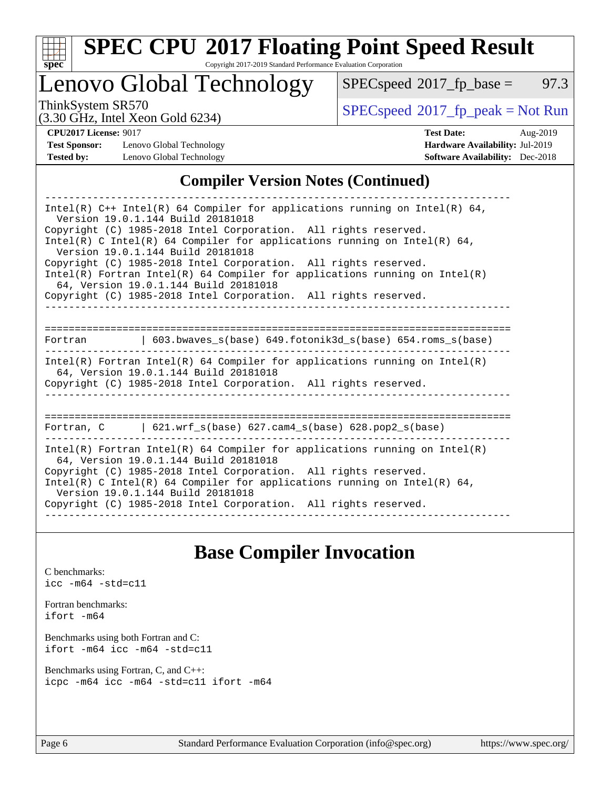

# **[SPEC CPU](http://www.spec.org/auto/cpu2017/Docs/result-fields.html#SPECCPU2017FloatingPointSpeedResult)[2017 Floating Point Speed Result](http://www.spec.org/auto/cpu2017/Docs/result-fields.html#SPECCPU2017FloatingPointSpeedResult)**

Copyright 2017-2019 Standard Performance Evaluation Corporation

Lenovo Global Technology

 $SPECspeed*2017_fp\_base = 97.3$  $SPECspeed*2017_fp\_base = 97.3$ 

(3.30 GHz, Intel Xeon Gold 6234)

ThinkSystem SR570<br>  $(3.30 \text{ GHz}_{\text{1.1}})$  [SPECspeed](http://www.spec.org/auto/cpu2017/Docs/result-fields.html#SPECspeed2017fppeak)®[2017\\_fp\\_peak = N](http://www.spec.org/auto/cpu2017/Docs/result-fields.html#SPECspeed2017fppeak)ot Run

**[Test Sponsor:](http://www.spec.org/auto/cpu2017/Docs/result-fields.html#TestSponsor)** Lenovo Global Technology **[Hardware Availability:](http://www.spec.org/auto/cpu2017/Docs/result-fields.html#HardwareAvailability)** Jul-2019 **[Tested by:](http://www.spec.org/auto/cpu2017/Docs/result-fields.html#Testedby)** Lenovo Global Technology **[Software Availability:](http://www.spec.org/auto/cpu2017/Docs/result-fields.html#SoftwareAvailability)** Dec-2018

**[CPU2017 License:](http://www.spec.org/auto/cpu2017/Docs/result-fields.html#CPU2017License)** 9017 **[Test Date:](http://www.spec.org/auto/cpu2017/Docs/result-fields.html#TestDate)** Aug-2019

#### **[Compiler Version Notes \(Continued\)](http://www.spec.org/auto/cpu2017/Docs/result-fields.html#CompilerVersionNotes)**

| Intel(R) $C++$ Intel(R) 64 Compiler for applications running on Intel(R) 64,<br>Version 19.0.1.144 Build 20181018<br>Copyright (C) 1985-2018 Intel Corporation. All rights reserved.<br>Intel(R) C Intel(R) 64 Compiler for applications running on Intel(R) 64,<br>Version 19.0.1.144 Build 20181018<br>Copyright (C) 1985-2018 Intel Corporation. All rights reserved.<br>$Intel(R)$ Fortran Intel(R) 64 Compiler for applications running on Intel(R)<br>64, Version 19.0.1.144 Build 20181018<br>Copyright (C) 1985-2018 Intel Corporation. All rights reserved. |  |  |  |  |
|----------------------------------------------------------------------------------------------------------------------------------------------------------------------------------------------------------------------------------------------------------------------------------------------------------------------------------------------------------------------------------------------------------------------------------------------------------------------------------------------------------------------------------------------------------------------|--|--|--|--|
|                                                                                                                                                                                                                                                                                                                                                                                                                                                                                                                                                                      |  |  |  |  |
|                                                                                                                                                                                                                                                                                                                                                                                                                                                                                                                                                                      |  |  |  |  |
| Fortran 		   603.bwaves_s(base) 649.fotonik3d_s(base) 654.roms_s(base)                                                                                                                                                                                                                                                                                                                                                                                                                                                                                               |  |  |  |  |
| Intel(R) Fortran Intel(R) 64 Compiler for applications running on Intel(R)<br>64, Version 19.0.1.144 Build 20181018<br>Copyright (C) 1985-2018 Intel Corporation. All rights reserved.                                                                                                                                                                                                                                                                                                                                                                               |  |  |  |  |
|                                                                                                                                                                                                                                                                                                                                                                                                                                                                                                                                                                      |  |  |  |  |
| Fortran, $C = \{621. \text{wrf s}(\text{base}) \}$ 627. cam4 s(base) 628. pop2 s(base)                                                                                                                                                                                                                                                                                                                                                                                                                                                                               |  |  |  |  |
| Intel(R) Fortran Intel(R) 64 Compiler for applications running on Intel(R)<br>64, Version 19.0.1.144 Build 20181018<br>Copyright (C) 1985-2018 Intel Corporation. All rights reserved.<br>Intel(R) C Intel(R) 64 Compiler for applications running on Intel(R) 64,<br>Version 19.0.1.144 Build 20181018<br>Copyright (C) 1985-2018 Intel Corporation. All rights reserved.                                                                                                                                                                                           |  |  |  |  |

# **[Base Compiler Invocation](http://www.spec.org/auto/cpu2017/Docs/result-fields.html#BaseCompilerInvocation)**

[C benchmarks](http://www.spec.org/auto/cpu2017/Docs/result-fields.html#Cbenchmarks): [icc -m64 -std=c11](http://www.spec.org/cpu2017/results/res2019q3/cpu2017-20190819-17163.flags.html#user_CCbase_intel_icc_64bit_c11_33ee0cdaae7deeeab2a9725423ba97205ce30f63b9926c2519791662299b76a0318f32ddfffdc46587804de3178b4f9328c46fa7c2b0cd779d7a61945c91cd35)

[Fortran benchmarks](http://www.spec.org/auto/cpu2017/Docs/result-fields.html#Fortranbenchmarks): [ifort -m64](http://www.spec.org/cpu2017/results/res2019q3/cpu2017-20190819-17163.flags.html#user_FCbase_intel_ifort_64bit_24f2bb282fbaeffd6157abe4f878425411749daecae9a33200eee2bee2fe76f3b89351d69a8130dd5949958ce389cf37ff59a95e7a40d588e8d3a57e0c3fd751)

[Benchmarks using both Fortran and C](http://www.spec.org/auto/cpu2017/Docs/result-fields.html#BenchmarksusingbothFortranandC): [ifort -m64](http://www.spec.org/cpu2017/results/res2019q3/cpu2017-20190819-17163.flags.html#user_CC_FCbase_intel_ifort_64bit_24f2bb282fbaeffd6157abe4f878425411749daecae9a33200eee2bee2fe76f3b89351d69a8130dd5949958ce389cf37ff59a95e7a40d588e8d3a57e0c3fd751) [icc -m64 -std=c11](http://www.spec.org/cpu2017/results/res2019q3/cpu2017-20190819-17163.flags.html#user_CC_FCbase_intel_icc_64bit_c11_33ee0cdaae7deeeab2a9725423ba97205ce30f63b9926c2519791662299b76a0318f32ddfffdc46587804de3178b4f9328c46fa7c2b0cd779d7a61945c91cd35)

[Benchmarks using Fortran, C, and C++:](http://www.spec.org/auto/cpu2017/Docs/result-fields.html#BenchmarksusingFortranCandCXX) [icpc -m64](http://www.spec.org/cpu2017/results/res2019q3/cpu2017-20190819-17163.flags.html#user_CC_CXX_FCbase_intel_icpc_64bit_4ecb2543ae3f1412ef961e0650ca070fec7b7afdcd6ed48761b84423119d1bf6bdf5cad15b44d48e7256388bc77273b966e5eb805aefd121eb22e9299b2ec9d9) [icc -m64 -std=c11](http://www.spec.org/cpu2017/results/res2019q3/cpu2017-20190819-17163.flags.html#user_CC_CXX_FCbase_intel_icc_64bit_c11_33ee0cdaae7deeeab2a9725423ba97205ce30f63b9926c2519791662299b76a0318f32ddfffdc46587804de3178b4f9328c46fa7c2b0cd779d7a61945c91cd35) [ifort -m64](http://www.spec.org/cpu2017/results/res2019q3/cpu2017-20190819-17163.flags.html#user_CC_CXX_FCbase_intel_ifort_64bit_24f2bb282fbaeffd6157abe4f878425411749daecae9a33200eee2bee2fe76f3b89351d69a8130dd5949958ce389cf37ff59a95e7a40d588e8d3a57e0c3fd751)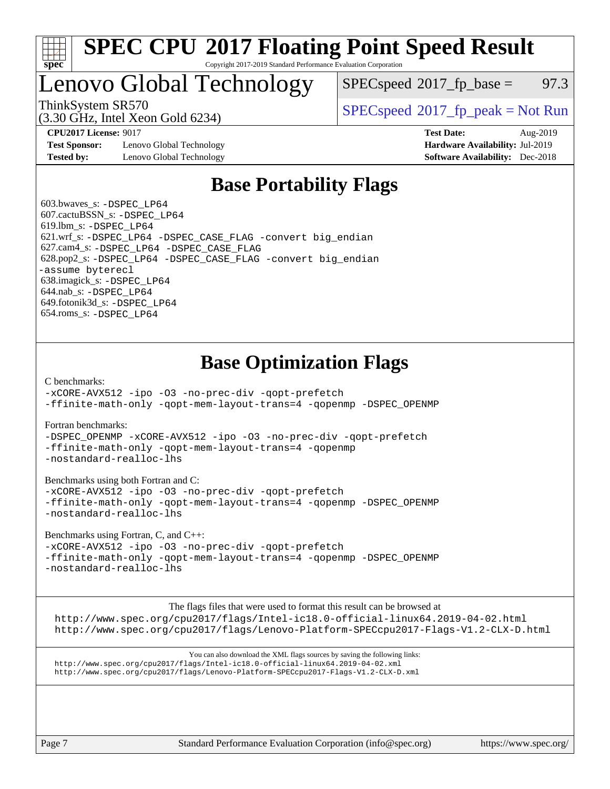

#### **[SPEC CPU](http://www.spec.org/auto/cpu2017/Docs/result-fields.html#SPECCPU2017FloatingPointSpeedResult)[2017 Floating Point Speed Result](http://www.spec.org/auto/cpu2017/Docs/result-fields.html#SPECCPU2017FloatingPointSpeedResult)** Copyright 2017-2019 Standard Performance Evaluation Corporation

# Lenovo Global Technology

 $SPECspeed^{\circ}2017\_fp\_base = 97.3$  $SPECspeed^{\circ}2017\_fp\_base = 97.3$ 

(3.30 GHz, Intel Xeon Gold 6234)

ThinkSystem SR570<br>  $SPEC speed^{\circ}2017$  [p\_peak = Not Run

**[Test Sponsor:](http://www.spec.org/auto/cpu2017/Docs/result-fields.html#TestSponsor)** Lenovo Global Technology **[Hardware Availability:](http://www.spec.org/auto/cpu2017/Docs/result-fields.html#HardwareAvailability)** Jul-2019 **[Tested by:](http://www.spec.org/auto/cpu2017/Docs/result-fields.html#Testedby)** Lenovo Global Technology **[Software Availability:](http://www.spec.org/auto/cpu2017/Docs/result-fields.html#SoftwareAvailability)** Dec-2018

**[CPU2017 License:](http://www.spec.org/auto/cpu2017/Docs/result-fields.html#CPU2017License)** 9017 **[Test Date:](http://www.spec.org/auto/cpu2017/Docs/result-fields.html#TestDate)** Aug-2019

# **[Base Portability Flags](http://www.spec.org/auto/cpu2017/Docs/result-fields.html#BasePortabilityFlags)**

 603.bwaves\_s: [-DSPEC\\_LP64](http://www.spec.org/cpu2017/results/res2019q3/cpu2017-20190819-17163.flags.html#suite_basePORTABILITY603_bwaves_s_DSPEC_LP64) 607.cactuBSSN\_s: [-DSPEC\\_LP64](http://www.spec.org/cpu2017/results/res2019q3/cpu2017-20190819-17163.flags.html#suite_basePORTABILITY607_cactuBSSN_s_DSPEC_LP64) 619.lbm\_s: [-DSPEC\\_LP64](http://www.spec.org/cpu2017/results/res2019q3/cpu2017-20190819-17163.flags.html#suite_basePORTABILITY619_lbm_s_DSPEC_LP64) 621.wrf\_s: [-DSPEC\\_LP64](http://www.spec.org/cpu2017/results/res2019q3/cpu2017-20190819-17163.flags.html#suite_basePORTABILITY621_wrf_s_DSPEC_LP64) [-DSPEC\\_CASE\\_FLAG](http://www.spec.org/cpu2017/results/res2019q3/cpu2017-20190819-17163.flags.html#b621.wrf_s_baseCPORTABILITY_DSPEC_CASE_FLAG) [-convert big\\_endian](http://www.spec.org/cpu2017/results/res2019q3/cpu2017-20190819-17163.flags.html#user_baseFPORTABILITY621_wrf_s_convert_big_endian_c3194028bc08c63ac5d04de18c48ce6d347e4e562e8892b8bdbdc0214820426deb8554edfa529a3fb25a586e65a3d812c835984020483e7e73212c4d31a38223) 627.cam4\_s: [-DSPEC\\_LP64](http://www.spec.org/cpu2017/results/res2019q3/cpu2017-20190819-17163.flags.html#suite_basePORTABILITY627_cam4_s_DSPEC_LP64) [-DSPEC\\_CASE\\_FLAG](http://www.spec.org/cpu2017/results/res2019q3/cpu2017-20190819-17163.flags.html#b627.cam4_s_baseCPORTABILITY_DSPEC_CASE_FLAG) 628.pop2\_s: [-DSPEC\\_LP64](http://www.spec.org/cpu2017/results/res2019q3/cpu2017-20190819-17163.flags.html#suite_basePORTABILITY628_pop2_s_DSPEC_LP64) [-DSPEC\\_CASE\\_FLAG](http://www.spec.org/cpu2017/results/res2019q3/cpu2017-20190819-17163.flags.html#b628.pop2_s_baseCPORTABILITY_DSPEC_CASE_FLAG) [-convert big\\_endian](http://www.spec.org/cpu2017/results/res2019q3/cpu2017-20190819-17163.flags.html#user_baseFPORTABILITY628_pop2_s_convert_big_endian_c3194028bc08c63ac5d04de18c48ce6d347e4e562e8892b8bdbdc0214820426deb8554edfa529a3fb25a586e65a3d812c835984020483e7e73212c4d31a38223) [-assume byterecl](http://www.spec.org/cpu2017/results/res2019q3/cpu2017-20190819-17163.flags.html#user_baseFPORTABILITY628_pop2_s_assume_byterecl_7e47d18b9513cf18525430bbf0f2177aa9bf368bc7a059c09b2c06a34b53bd3447c950d3f8d6c70e3faf3a05c8557d66a5798b567902e8849adc142926523472) 638.imagick\_s: [-DSPEC\\_LP64](http://www.spec.org/cpu2017/results/res2019q3/cpu2017-20190819-17163.flags.html#suite_basePORTABILITY638_imagick_s_DSPEC_LP64) 644.nab\_s: [-DSPEC\\_LP64](http://www.spec.org/cpu2017/results/res2019q3/cpu2017-20190819-17163.flags.html#suite_basePORTABILITY644_nab_s_DSPEC_LP64) 649.fotonik3d\_s: [-DSPEC\\_LP64](http://www.spec.org/cpu2017/results/res2019q3/cpu2017-20190819-17163.flags.html#suite_basePORTABILITY649_fotonik3d_s_DSPEC_LP64) 654.roms\_s: [-DSPEC\\_LP64](http://www.spec.org/cpu2017/results/res2019q3/cpu2017-20190819-17163.flags.html#suite_basePORTABILITY654_roms_s_DSPEC_LP64)

# **[Base Optimization Flags](http://www.spec.org/auto/cpu2017/Docs/result-fields.html#BaseOptimizationFlags)**

[C benchmarks](http://www.spec.org/auto/cpu2017/Docs/result-fields.html#Cbenchmarks):

[-xCORE-AVX512](http://www.spec.org/cpu2017/results/res2019q3/cpu2017-20190819-17163.flags.html#user_CCbase_f-xCORE-AVX512) [-ipo](http://www.spec.org/cpu2017/results/res2019q3/cpu2017-20190819-17163.flags.html#user_CCbase_f-ipo) [-O3](http://www.spec.org/cpu2017/results/res2019q3/cpu2017-20190819-17163.flags.html#user_CCbase_f-O3) [-no-prec-div](http://www.spec.org/cpu2017/results/res2019q3/cpu2017-20190819-17163.flags.html#user_CCbase_f-no-prec-div) [-qopt-prefetch](http://www.spec.org/cpu2017/results/res2019q3/cpu2017-20190819-17163.flags.html#user_CCbase_f-qopt-prefetch) [-ffinite-math-only](http://www.spec.org/cpu2017/results/res2019q3/cpu2017-20190819-17163.flags.html#user_CCbase_f_finite_math_only_cb91587bd2077682c4b38af759c288ed7c732db004271a9512da14a4f8007909a5f1427ecbf1a0fb78ff2a814402c6114ac565ca162485bbcae155b5e4258871) [-qopt-mem-layout-trans=4](http://www.spec.org/cpu2017/results/res2019q3/cpu2017-20190819-17163.flags.html#user_CCbase_f-qopt-mem-layout-trans_fa39e755916c150a61361b7846f310bcdf6f04e385ef281cadf3647acec3f0ae266d1a1d22d972a7087a248fd4e6ca390a3634700869573d231a252c784941a8) [-qopenmp](http://www.spec.org/cpu2017/results/res2019q3/cpu2017-20190819-17163.flags.html#user_CCbase_qopenmp_16be0c44f24f464004c6784a7acb94aca937f053568ce72f94b139a11c7c168634a55f6653758ddd83bcf7b8463e8028bb0b48b77bcddc6b78d5d95bb1df2967) [-DSPEC\\_OPENMP](http://www.spec.org/cpu2017/results/res2019q3/cpu2017-20190819-17163.flags.html#suite_CCbase_DSPEC_OPENMP)

[Fortran benchmarks](http://www.spec.org/auto/cpu2017/Docs/result-fields.html#Fortranbenchmarks):

[-DSPEC\\_OPENMP](http://www.spec.org/cpu2017/results/res2019q3/cpu2017-20190819-17163.flags.html#suite_FCbase_DSPEC_OPENMP) [-xCORE-AVX512](http://www.spec.org/cpu2017/results/res2019q3/cpu2017-20190819-17163.flags.html#user_FCbase_f-xCORE-AVX512) [-ipo](http://www.spec.org/cpu2017/results/res2019q3/cpu2017-20190819-17163.flags.html#user_FCbase_f-ipo) [-O3](http://www.spec.org/cpu2017/results/res2019q3/cpu2017-20190819-17163.flags.html#user_FCbase_f-O3) [-no-prec-div](http://www.spec.org/cpu2017/results/res2019q3/cpu2017-20190819-17163.flags.html#user_FCbase_f-no-prec-div) [-qopt-prefetch](http://www.spec.org/cpu2017/results/res2019q3/cpu2017-20190819-17163.flags.html#user_FCbase_f-qopt-prefetch) [-ffinite-math-only](http://www.spec.org/cpu2017/results/res2019q3/cpu2017-20190819-17163.flags.html#user_FCbase_f_finite_math_only_cb91587bd2077682c4b38af759c288ed7c732db004271a9512da14a4f8007909a5f1427ecbf1a0fb78ff2a814402c6114ac565ca162485bbcae155b5e4258871) [-qopt-mem-layout-trans=4](http://www.spec.org/cpu2017/results/res2019q3/cpu2017-20190819-17163.flags.html#user_FCbase_f-qopt-mem-layout-trans_fa39e755916c150a61361b7846f310bcdf6f04e385ef281cadf3647acec3f0ae266d1a1d22d972a7087a248fd4e6ca390a3634700869573d231a252c784941a8) [-qopenmp](http://www.spec.org/cpu2017/results/res2019q3/cpu2017-20190819-17163.flags.html#user_FCbase_qopenmp_16be0c44f24f464004c6784a7acb94aca937f053568ce72f94b139a11c7c168634a55f6653758ddd83bcf7b8463e8028bb0b48b77bcddc6b78d5d95bb1df2967) [-nostandard-realloc-lhs](http://www.spec.org/cpu2017/results/res2019q3/cpu2017-20190819-17163.flags.html#user_FCbase_f_2003_std_realloc_82b4557e90729c0f113870c07e44d33d6f5a304b4f63d4c15d2d0f1fab99f5daaed73bdb9275d9ae411527f28b936061aa8b9c8f2d63842963b95c9dd6426b8a)

[Benchmarks using both Fortran and C](http://www.spec.org/auto/cpu2017/Docs/result-fields.html#BenchmarksusingbothFortranandC):

[-xCORE-AVX512](http://www.spec.org/cpu2017/results/res2019q3/cpu2017-20190819-17163.flags.html#user_CC_FCbase_f-xCORE-AVX512) [-ipo](http://www.spec.org/cpu2017/results/res2019q3/cpu2017-20190819-17163.flags.html#user_CC_FCbase_f-ipo) [-O3](http://www.spec.org/cpu2017/results/res2019q3/cpu2017-20190819-17163.flags.html#user_CC_FCbase_f-O3) [-no-prec-div](http://www.spec.org/cpu2017/results/res2019q3/cpu2017-20190819-17163.flags.html#user_CC_FCbase_f-no-prec-div) [-qopt-prefetch](http://www.spec.org/cpu2017/results/res2019q3/cpu2017-20190819-17163.flags.html#user_CC_FCbase_f-qopt-prefetch) [-ffinite-math-only](http://www.spec.org/cpu2017/results/res2019q3/cpu2017-20190819-17163.flags.html#user_CC_FCbase_f_finite_math_only_cb91587bd2077682c4b38af759c288ed7c732db004271a9512da14a4f8007909a5f1427ecbf1a0fb78ff2a814402c6114ac565ca162485bbcae155b5e4258871) [-qopt-mem-layout-trans=4](http://www.spec.org/cpu2017/results/res2019q3/cpu2017-20190819-17163.flags.html#user_CC_FCbase_f-qopt-mem-layout-trans_fa39e755916c150a61361b7846f310bcdf6f04e385ef281cadf3647acec3f0ae266d1a1d22d972a7087a248fd4e6ca390a3634700869573d231a252c784941a8) [-qopenmp](http://www.spec.org/cpu2017/results/res2019q3/cpu2017-20190819-17163.flags.html#user_CC_FCbase_qopenmp_16be0c44f24f464004c6784a7acb94aca937f053568ce72f94b139a11c7c168634a55f6653758ddd83bcf7b8463e8028bb0b48b77bcddc6b78d5d95bb1df2967) [-DSPEC\\_OPENMP](http://www.spec.org/cpu2017/results/res2019q3/cpu2017-20190819-17163.flags.html#suite_CC_FCbase_DSPEC_OPENMP) [-nostandard-realloc-lhs](http://www.spec.org/cpu2017/results/res2019q3/cpu2017-20190819-17163.flags.html#user_CC_FCbase_f_2003_std_realloc_82b4557e90729c0f113870c07e44d33d6f5a304b4f63d4c15d2d0f1fab99f5daaed73bdb9275d9ae411527f28b936061aa8b9c8f2d63842963b95c9dd6426b8a)

[Benchmarks using Fortran, C, and C++:](http://www.spec.org/auto/cpu2017/Docs/result-fields.html#BenchmarksusingFortranCandCXX)

[-xCORE-AVX512](http://www.spec.org/cpu2017/results/res2019q3/cpu2017-20190819-17163.flags.html#user_CC_CXX_FCbase_f-xCORE-AVX512) [-ipo](http://www.spec.org/cpu2017/results/res2019q3/cpu2017-20190819-17163.flags.html#user_CC_CXX_FCbase_f-ipo) [-O3](http://www.spec.org/cpu2017/results/res2019q3/cpu2017-20190819-17163.flags.html#user_CC_CXX_FCbase_f-O3) [-no-prec-div](http://www.spec.org/cpu2017/results/res2019q3/cpu2017-20190819-17163.flags.html#user_CC_CXX_FCbase_f-no-prec-div) [-qopt-prefetch](http://www.spec.org/cpu2017/results/res2019q3/cpu2017-20190819-17163.flags.html#user_CC_CXX_FCbase_f-qopt-prefetch) [-ffinite-math-only](http://www.spec.org/cpu2017/results/res2019q3/cpu2017-20190819-17163.flags.html#user_CC_CXX_FCbase_f_finite_math_only_cb91587bd2077682c4b38af759c288ed7c732db004271a9512da14a4f8007909a5f1427ecbf1a0fb78ff2a814402c6114ac565ca162485bbcae155b5e4258871) [-qopt-mem-layout-trans=4](http://www.spec.org/cpu2017/results/res2019q3/cpu2017-20190819-17163.flags.html#user_CC_CXX_FCbase_f-qopt-mem-layout-trans_fa39e755916c150a61361b7846f310bcdf6f04e385ef281cadf3647acec3f0ae266d1a1d22d972a7087a248fd4e6ca390a3634700869573d231a252c784941a8) [-qopenmp](http://www.spec.org/cpu2017/results/res2019q3/cpu2017-20190819-17163.flags.html#user_CC_CXX_FCbase_qopenmp_16be0c44f24f464004c6784a7acb94aca937f053568ce72f94b139a11c7c168634a55f6653758ddd83bcf7b8463e8028bb0b48b77bcddc6b78d5d95bb1df2967) [-DSPEC\\_OPENMP](http://www.spec.org/cpu2017/results/res2019q3/cpu2017-20190819-17163.flags.html#suite_CC_CXX_FCbase_DSPEC_OPENMP) [-nostandard-realloc-lhs](http://www.spec.org/cpu2017/results/res2019q3/cpu2017-20190819-17163.flags.html#user_CC_CXX_FCbase_f_2003_std_realloc_82b4557e90729c0f113870c07e44d33d6f5a304b4f63d4c15d2d0f1fab99f5daaed73bdb9275d9ae411527f28b936061aa8b9c8f2d63842963b95c9dd6426b8a)

[The flags files that were used to format this result can be browsed at](tmsearch)

<http://www.spec.org/cpu2017/flags/Intel-ic18.0-official-linux64.2019-04-02.html> <http://www.spec.org/cpu2017/flags/Lenovo-Platform-SPECcpu2017-Flags-V1.2-CLX-D.html>

[You can also download the XML flags sources by saving the following links:](tmsearch) <http://www.spec.org/cpu2017/flags/Intel-ic18.0-official-linux64.2019-04-02.xml> <http://www.spec.org/cpu2017/flags/Lenovo-Platform-SPECcpu2017-Flags-V1.2-CLX-D.xml>